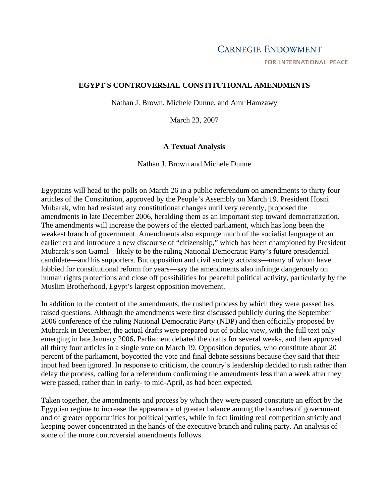## **CARNEGIE ENDOWMENT**

FOR INTERNATIONAL PEACE

#### **EGYPT'S CONTROVERSIAL CONSTITUTIONAL AMENDMENTS**

Nathan J. Brown, Michele Dunne, and Amr Hamzawy

March 23, 2007

#### **A Textual Analysis**

Nathan J. Brown and Michele Dunne

Egyptians will head to the polls on March 26 in a public referendum on amendments to thirty four articles of the Constitution, approved by the People's Assembly on March 19. President Hosni Mubarak, who had resisted any constitutional changes until very recently, proposed the amendments in late December 2006, heralding them as an important step toward democratization. The amendments will increase the powers of the elected parliament, which has long been the weakest branch of government. Amendments also expunge much of the socialist language of an earlier era and introduce a new discourse of "citizenship," which has been championed by President Mubarak's son Gamal—likely to be the ruling National Democratic Party's future presidential candidate—and his supporters. But opposition and civil society activists—many of whom have lobbied for constitutional reform for years—say the amendments also infringe dangerously on human rights protections and close off possibilities for peaceful political activity, particularly by the Muslim Brotherhood, Egypt's largest opposition movement.

In addition to the content of the amendments, the rushed process by which they were passed has raised questions. Although the amendments were first discussed publicly during the September 2006 conference of the ruling National Democratic Party (NDP) and then officially proposed by Mubarak in December, the actual drafts were prepared out of public view, with the full text only emerging in late January 2006**.** Parliament debated the drafts for several weeks, and then approved all thirty four articles in a single vote on March 19. Opposition deputies, who constitute about 20 percent of the parliament, boycotted the vote and final debate sessions because they said that their input had been ignored. In response to criticism, the country's leadership decided to rush rather than delay the process, calling for a referendum confirming the amendments less than a week after they were passed, rather than in early- to mid-April, as had been expected.

Taken together, the amendments and process by which they were passed constitute an effort by the Egyptian regime to increase the appearance of greater balance among the branches of government and of greater opportunities for political parties, while in fact limiting real competition strictly and keeping power concentrated in the hands of the executive branch and ruling party. An analysis of some of the more controversial amendments follows.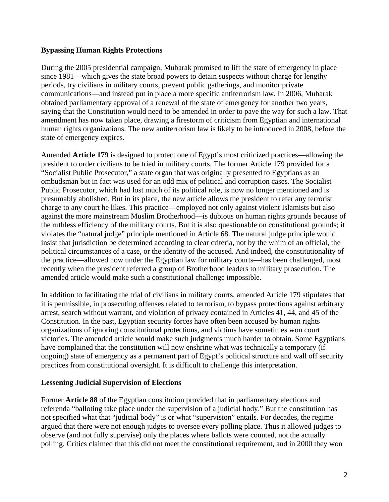### **Bypassing Human Rights Protections**

During the 2005 presidential campaign, Mubarak promised to lift the state of emergency in place since 1981—which gives the state broad powers to detain suspects without charge for lengthy periods, try civilians in military courts, prevent public gatherings, and monitor private communications—and instead put in place a more specific antiterrorism law. In 2006, Mubarak obtained parliamentary approval of a renewal of the state of emergency for another two years, saying that the Constitution would need to be amended in order to pave the way for such a law. That amendment has now taken place, drawing a firestorm of criticism from Egyptian and international human rights organizations. The new antiterrorism law is likely to be introduced in 2008, before the state of emergency expires.

Amended **Article 179** is designed to protect one of Egypt's most criticized practices—allowing the president to order civilians to be tried in military courts. The former Article 179 provided for a "Socialist Public Prosecutor," a state organ that was originally presented to Egyptians as an ombudsman but in fact was used for an odd mix of political and corruption cases. The Socialist Public Prosecutor, which had lost much of its political role, is now no longer mentioned and is presumably abolished. But in its place, the new article allows the president to refer any terrorist charge to any court he likes. This practice—employed not only against violent Islamists but also against the more mainstream Muslim Brotherhood—is dubious on human rights grounds because of the ruthless efficiency of the military courts. But it is also questionable on constitutional grounds; it violates the "natural judge" principle mentioned in Article 68. The natural judge principle would insist that jurisdiction be determined according to clear criteria, not by the whim of an official, the political circumstances of a case, or the identity of the accused. And indeed, the constitutionality of the practice—allowed now under the Egyptian law for military courts—has been challenged, most recently when the president referred a group of Brotherhood leaders to military prosecution. The amended article would make such a constitutional challenge impossible.

In addition to facilitating the trial of civilians in military courts, amended Article 179 stipulates that it is permissible, in prosecuting offenses related to terrorism, to bypass protections against arbitrary arrest, search without warrant, and violation of privacy contained in Articles 41, 44, and 45 of the Constitution. In the past, Egyptian security forces have often been accused by human rights organizations of ignoring constitutional protections, and victims have sometimes won court victories. The amended article would make such judgments much harder to obtain. Some Egyptians have complained that the constitution will now enshrine what was technically a temporary (if ongoing) state of emergency as a permanent part of Egypt's political structure and wall off security practices from constitutional oversight. It is difficult to challenge this interpretation.

#### **Lessening Judicial Supervision of Elections**

Former **Article 88** of the Egyptian constitution provided that in parliamentary elections and referenda "balloting take place under the supervision of a judicial body." But the constitution has not specified what that "judicial body" is or what "supervision" entails. For decades, the regime argued that there were not enough judges to oversee every polling place. Thus it allowed judges to observe (and not fully supervise) only the places where ballots were counted, not the actually polling. Critics claimed that this did not meet the constitutional requirement, and in 2000 they won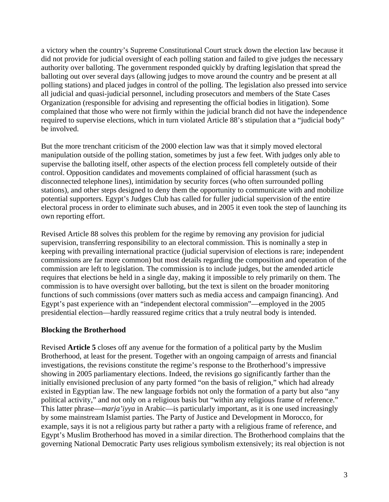a victory when the country's Supreme Constitutional Court struck down the election law because it did not provide for judicial oversight of each polling station and failed to give judges the necessary authority over balloting. The government responded quickly by drafting legislation that spread the balloting out over several days (allowing judges to move around the country and be present at all polling stations) and placed judges in control of the polling. The legislation also pressed into service all judicial and quasi-judicial personnel, including prosecutors and members of the State Cases Organization (responsible for advising and representing the official bodies in litigation). Some complained that those who were not firmly within the judicial branch did not have the independence required to supervise elections, which in turn violated Article 88's stipulation that a "judicial body" be involved.

But the more trenchant criticism of the 2000 election law was that it simply moved electoral manipulation outside of the polling station, sometimes by just a few feet. With judges only able to supervise the balloting itself, other aspects of the election process fell completely outside of their control. Opposition candidates and movements complained of official harassment (such as disconnected telephone lines), intimidation by security forces (who often surrounded polling stations), and other steps designed to deny them the opportunity to communicate with and mobilize potential supporters. Egypt's Judges Club has called for fuller judicial supervision of the entire electoral process in order to eliminate such abuses, and in 2005 it even took the step of launching its own reporting effort.

Revised Article 88 solves this problem for the regime by removing any provision for judicial supervision, transferring responsibility to an electoral commission. This is nominally a step in keeping with prevailing international practice (judicial supervision of elections is rare; independent commissions are far more common) but most details regarding the composition and operation of the commission are left to legislation. The commission is to include judges, but the amended article requires that elections be held in a single day, making it impossible to rely primarily on them. The commission is to have oversight over balloting, but the text is silent on the broader monitoring functions of such commissions (over matters such as media access and campaign financing). And Egypt's past experience with an "independent electoral commission"—employed in the 2005 presidential election—hardly reassured regime critics that a truly neutral body is intended.

#### **Blocking the Brotherhood**

Revised **Article 5** closes off any avenue for the formation of a political party by the Muslim Brotherhood, at least for the present. Together with an ongoing campaign of arrests and financial investigations, the revisions constitute the regime's response to the Brotherhood's impressive showing in 2005 parliamentary elections. Indeed, the revisions go significantly farther than the initially envisioned preclusion of any party formed "on the basis of religion," which had already existed in Egyptian law. The new language forbids not only the formation of a party but also "any political activity," and not only on a religious basis but "within any religious frame of reference." This latter phrase—*marja'iyya* in Arabic—is particularly important, as it is one used increasingly by some mainstream Islamist parties. The Party of Justice and Development in Morocco, for example, says it is not a religious party but rather a party with a religious frame of reference, and Egypt's Muslim Brotherhood has moved in a similar direction. The Brotherhood complains that the governing National Democratic Party uses religious symbolism extensively; its real objection is not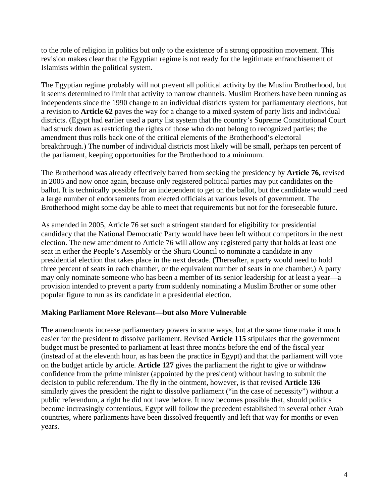to the role of religion in politics but only to the existence of a strong opposition movement. This revision makes clear that the Egyptian regime is not ready for the legitimate enfranchisement of Islamists within the political system.

The Egyptian regime probably will not prevent all political activity by the Muslim Brotherhood, but it seems determined to limit that activity to narrow channels. Muslim Brothers have been running as independents since the 1990 change to an individual districts system for parliamentary elections, but a revision to **Article 62** paves the way for a change to a mixed system of party lists and individual districts. (Egypt had earlier used a party list system that the country's Supreme Constitutional Court had struck down as restricting the rights of those who do not belong to recognized parties; the amendment thus rolls back one of the critical elements of the Brotherhood's electoral breakthrough.) The number of individual districts most likely will be small, perhaps ten percent of the parliament, keeping opportunities for the Brotherhood to a minimum.

The Brotherhood was already effectively barred from seeking the presidency by **Article 76,** revised in 2005 and now once again, because only registered political parties may put candidates on the ballot. It is technically possible for an independent to get on the ballot, but the candidate would need a large number of endorsements from elected officials at various levels of government. The Brotherhood might some day be able to meet that requirements but not for the foreseeable future.

As amended in 2005, Article 76 set such a stringent standard for eligibility for presidential candidacy that the National Democratic Party would have been left without competitors in the next election. The new amendment to Article 76 will allow any registered party that holds at least one seat in either the People's Assembly or the Shura Council to nominate a candidate in any presidential election that takes place in the next decade. (Thereafter, a party would need to hold three percent of seats in each chamber, or the equivalent number of seats in one chamber.) A party may only nominate someone who has been a member of its senior leadership for at least a year—a provision intended to prevent a party from suddenly nominating a Muslim Brother or some other popular figure to run as its candidate in a presidential election.

## **Making Parliament More Relevant—but also More Vulnerable**

The amendments increase parliamentary powers in some ways, but at the same time make it much easier for the president to dissolve parliament. Revised **Article 115** stipulates that the government budget must be presented to parliament at least three months before the end of the fiscal year (instead of at the eleventh hour, as has been the practice in Egypt) and that the parliament will vote on the budget article by article. **Article 127** gives the parliament the right to give or withdraw confidence from the prime minister (appointed by the president) without having to submit the decision to public referendum. The fly in the ointment, however, is that revised **Article 136**  similarly gives the president the right to dissolve parliament ("in the case of necessity") without a public referendum, a right he did not have before. It now becomes possible that, should politics become increasingly contentious, Egypt will follow the precedent established in several other Arab countries, where parliaments have been dissolved frequently and left that way for months or even years.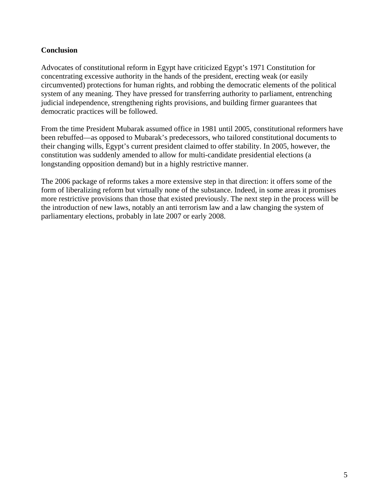# **Conclusion**

Advocates of constitutional reform in Egypt have criticized Egypt's 1971 Constitution for concentrating excessive authority in the hands of the president, erecting weak (or easily circumvented) protections for human rights, and robbing the democratic elements of the political system of any meaning. They have pressed for transferring authority to parliament, entrenching judicial independence, strengthening rights provisions, and building firmer guarantees that democratic practices will be followed.

From the time President Mubarak assumed office in 1981 until 2005, constitutional reformers have been rebuffed—as opposed to Mubarak's predecessors, who tailored constitutional documents to their changing wills, Egypt's current president claimed to offer stability. In 2005, however, the constitution was suddenly amended to allow for multi-candidate presidential elections (a longstanding opposition demand) but in a highly restrictive manner.

The 2006 package of reforms takes a more extensive step in that direction: it offers some of the form of liberalizing reform but virtually none of the substance. Indeed, in some areas it promises more restrictive provisions than those that existed previously. The next step in the process will be the introduction of new laws, notably an anti terrorism law and a law changing the system of parliamentary elections, probably in late 2007 or early 2008.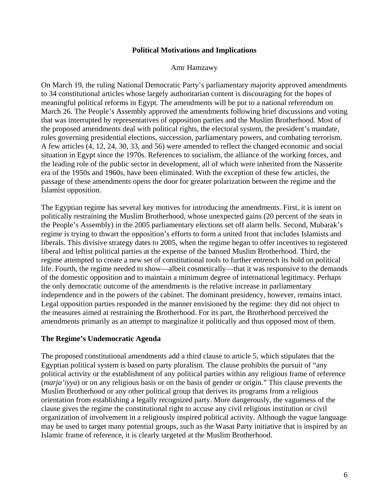#### **Political Motivations and Implications**

#### Amr Hamzawy

On March 19, the ruling National Democratic Party's parliamentary majority approved amendments to 34 constitutional articles whose largely authoritarian content is discouraging for the hopes of meaningful political reforms in Egypt. The amendments will be put to a national referendum on March 26. The People's Assembly approved the amendments following brief discussions and voting that was interrupted by representatives of opposition parties and the Muslim Brotherhood. Most of the proposed amendments deal with political rights, the electoral system, the president's mandate, rules governing presidential elections, succession, parliamentary powers, and combating terrorism. A few articles (4, 12, 24, 30, 33, and 56) were amended to reflect the changed economic and social situation in Egypt since the 1970s. References to socialism, the alliance of the working forces, and the leading role of the public sector in development, all of which were inherited from the Nasserite era of the 1950s and 1960s, have been eliminated. With the exception of these few articles, the passage of these amendments opens the door for greater polarization between the regime and the Islamist opposition.

The Egyptian regime has several key motives for introducing the amendments. First, it is intent on politically restraining the Muslim Brotherhood, whose unexpected gains (20 percent of the seats in the People's Assembly) in the 2005 parliamentary elections set off alarm bells. Second, Mubarak's regime is trying to thwart the opposition's efforts to form a united front that includes Islamists and liberals. This divisive strategy dates to 2005, when the regime began to offer incentives to registered liberal and leftist political parties at the expense of the banned Muslim Brotherhood. Third, the regime attempted to create a new set of constitutional tools to further entrench its hold on political life. Fourth, the regime needed to show—albeit cosmetically—that it was responsive to the demands of the domestic opposition and to maintain a minimum degree of international legitimacy. Perhaps the only democratic outcome of the amendments is the relative increase in parliamentary independence and in the powers of the cabinet. The dominant presidency, however, remains intact. Legal opposition parties responded in the manner envisioned by the regime: they did not object to the measures aimed at restraining the Brotherhood. For its part, the Brotherhood perceived the amendments primarily as an attempt to marginalize it politically and thus opposed most of them.

#### **The Regime's Undemocratic Agenda**

The proposed constitutional amendments add a third clause to article 5, which stipulates that the Egyptian political system is based on party pluralism. The clause prohibits the pursuit of "any political activity or the establishment of any political parties within any religious frame of reference (*marja'iyya*) or on any religious basis or on the basis of gender or origin." This clause prevents the Muslim Brotherhood or any other political group that derives its programs from a religious orientation from establishing a legally recognized party. More dangerously, the vagueness of the clause gives the regime the constitutional right to accuse any civil religious institution or civil organization of involvement in a religiously inspired political activity. Although the vague language may be used to target many potential groups, such as the Wasat Party initiative that is inspired by an Islamic frame of reference, it is clearly targeted at the Muslim Brotherhood.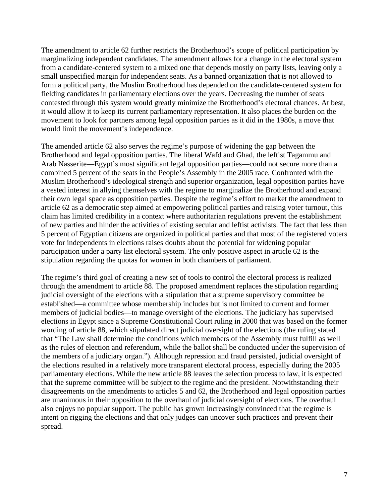The amendment to article 62 further restricts the Brotherhood's scope of political participation by marginalizing independent candidates. The amendment allows for a change in the electoral system from a candidate-centered system to a mixed one that depends mostly on party lists, leaving only a small unspecified margin for independent seats. As a banned organization that is not allowed to form a political party, the Muslim Brotherhood has depended on the candidate-centered system for fielding candidates in parliamentary elections over the years. Decreasing the number of seats contested through this system would greatly minimize the Brotherhood's electoral chances. At best, it would allow it to keep its current parliamentary representation. It also places the burden on the movement to look for partners among legal opposition parties as it did in the 1980s, a move that would limit the movement's independence.

The amended article 62 also serves the regime's purpose of widening the gap between the Brotherhood and legal opposition parties. The liberal Wafd and Ghad, the leftist Tagammu and Arab Nasserite—Egypt's most significant legal opposition parties—could not secure more than a combined 5 percent of the seats in the People's Assembly in the 2005 race. Confronted with the Muslim Brotherhood's ideological strength and superior organization, legal opposition parties have a vested interest in allying themselves with the regime to marginalize the Brotherhood and expand their own legal space as opposition parties. Despite the regime's effort to market the amendment to article 62 as a democratic step aimed at empowering political parties and raising voter turnout, this claim has limited credibility in a context where authoritarian regulations prevent the establishment of new parties and hinder the activities of existing secular and leftist activists. The fact that less than 5 percent of Egyptian citizens are organized in political parties and that most of the registered voters vote for independents in elections raises doubts about the potential for widening popular participation under a party list electoral system. The only positive aspect in article 62 is the stipulation regarding the quotas for women in both chambers of parliament.

The regime's third goal of creating a new set of tools to control the electoral process is realized through the amendment to article 88. The proposed amendment replaces the stipulation regarding judicial oversight of the elections with a stipulation that a supreme supervisory committee be established—a committee whose membership includes but is not limited to current and former members of judicial bodies—to manage oversight of the elections. The judiciary has supervised elections in Egypt since a Supreme Constitutional Court ruling in 2000 that was based on the former wording of article 88, which stipulated direct judicial oversight of the elections (the ruling stated that "The Law shall determine the conditions which members of the Assembly must fulfill as well as the rules of election and referendum, while the ballot shall be conducted under the supervision of the members of a judiciary organ."). Although repression and fraud persisted, judicial oversight of the elections resulted in a relatively more transparent electoral process, especially during the 2005 parliamentary elections. While the new article 88 leaves the selection process to law, it is expected that the supreme committee will be subject to the regime and the president. Notwithstanding their disagreements on the amendments to articles 5 and 62, the Brotherhood and legal opposition parties are unanimous in their opposition to the overhaul of judicial oversight of elections. The overhaul also enjoys no popular support. The public has grown increasingly convinced that the regime is intent on rigging the elections and that only judges can uncover such practices and prevent their spread.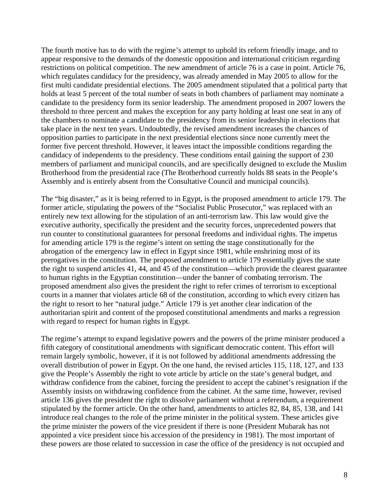The fourth motive has to do with the regime's attempt to uphold its reform friendly image, and to appear responsive to the demands of the domestic opposition and international criticism regarding restrictions on political competition. The new amendment of article 76 is a case in point. Article 76, which regulates candidacy for the presidency, was already amended in May 2005 to allow for the first multi candidate presidential elections. The 2005 amendment stipulated that a political party that holds at least 5 percent of the total number of seats in both chambers of parliament may nominate a candidate to the presidency form its senior leadership. The amendment proposed in 2007 lowers the threshold to three percent and makes the exception for any party holding at least one seat in any of the chambers to nominate a candidate to the presidency from its senior leadership in elections that take place in the next ten years. Undoubtedly, the revised amendment increases the chances of opposition parties to participate in the next presidential elections since none currently meet the former five percent threshold. However, it leaves intact the impossible conditions regarding the candidacy of independents to the presidency. These conditions entail gaining the support of 230 members of parliament and municipal councils, and are specifically designed to exclude the Muslim Brotherhood from the presidential race (The Brotherhood currently holds 88 seats in the People's Assembly and is entirely absent from the Consultative Council and municipal councils).

The "big disaster," as it is being referred to in Egypt, is the proposed amendment to article 179. The former article, stipulating the powers of the "Socialist Public Prosecutor," was replaced with an entirely new text allowing for the stipulation of an anti-terrorism law. This law would give the executive authority, specifically the president and the security forces, unprecedented powers that run counter to constitutional guarantees for personal freedoms and individual rights. The impetus for amending article 179 is the regime's intent on setting the stage constitutionally for the abrogation of the emergency law in effect in Egypt since 1981, while enshrining most of its prerogatives in the constitution. The proposed amendment to article 179 essentially gives the state the right to suspend articles 41, 44, and 45 of the constitution—which provide the clearest guarantee to human rights in the Egyptian constitution—under the banner of combating terrorism. The proposed amendment also gives the president the right to refer crimes of terrorism to exceptional courts in a manner that violates article 68 of the constitution, according to which every citizen has the right to resort to her "natural judge." Article 179 is yet another clear indication of the authoritarian spirit and content of the proposed constitutional amendments and marks a regression with regard to respect for human rights in Egypt.

The regime's attempt to expand legislative powers and the powers of the prime minister produced a fifth category of constitutional amendments with significant democratic content. This effort will remain largely symbolic, however, if it is not followed by additional amendments addressing the overall distribution of power in Egypt. On the one hand, the revised articles 115, 118, 127, and 133 give the People's Assembly the right to vote article by article on the state's general budget, and withdraw confidence from the cabinet, forcing the president to accept the cabinet's resignation if the Assembly insists on withdrawing confidence from the cabinet. At the same time, however, revised article 136 gives the president the right to dissolve parliament without a referendum, a requirement stipulated by the former article. On the other hand, amendments to articles 82, 84, 85, 138, and 141 introduce real changes to the role of the prime minister in the political system. These articles give the prime minister the powers of the vice president if there is none (President Mubarak has not appointed a vice president since his accession of the presidency in 1981). The most important of these powers are those related to succession in case the office of the presidency is not occupied and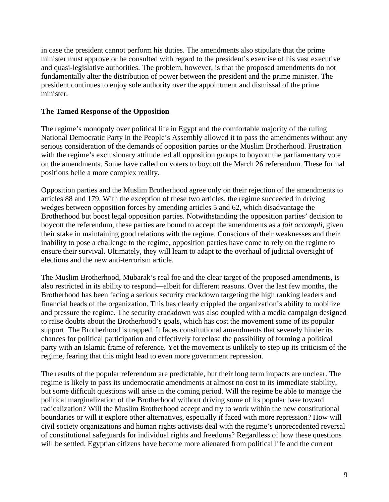in case the president cannot perform his duties. The amendments also stipulate that the prime minister must approve or be consulted with regard to the president's exercise of his vast executive and quasi-legislative authorities. The problem, however, is that the proposed amendments do not fundamentally alter the distribution of power between the president and the prime minister. The president continues to enjoy sole authority over the appointment and dismissal of the prime minister.

### **The Tamed Response of the Opposition**

The regime's monopoly over political life in Egypt and the comfortable majority of the ruling National Democratic Party in the People's Assembly allowed it to pass the amendments without any serious consideration of the demands of opposition parties or the Muslim Brotherhood. Frustration with the regime's exclusionary attitude led all opposition groups to boycott the parliamentary vote on the amendments. Some have called on voters to boycott the March 26 referendum. These formal positions belie a more complex reality.

Opposition parties and the Muslim Brotherhood agree only on their rejection of the amendments to articles 88 and 179. With the exception of these two articles, the regime succeeded in driving wedges between opposition forces by amending articles 5 and 62, which disadvantage the Brotherhood but boost legal opposition parties. Notwithstanding the opposition parties' decision to boycott the referendum, these parties are bound to accept the amendments as a *fait accompli,* given their stake in maintaining good relations with the regime. Conscious of their weaknesses and their inability to pose a challenge to the regime, opposition parties have come to rely on the regime to ensure their survival. Ultimately, they will learn to adapt to the overhaul of judicial oversight of elections and the new anti-terrorism article.

The Muslim Brotherhood, Mubarak's real foe and the clear target of the proposed amendments, is also restricted in its ability to respond—albeit for different reasons. Over the last few months, the Brotherhood has been facing a serious security crackdown targeting the high ranking leaders and financial heads of the organization. This has clearly crippled the organization's ability to mobilize and pressure the regime. The security crackdown was also coupled with a media campaign designed to raise doubts about the Brotherhood's goals, which has cost the movement some of its popular support. The Brotherhood is trapped. It faces constitutional amendments that severely hinder its chances for political participation and effectively foreclose the possibility of forming a political party with an Islamic frame of reference. Yet the movement is unlikely to step up its criticism of the regime, fearing that this might lead to even more government repression.

The results of the popular referendum are predictable, but their long term impacts are unclear. The regime is likely to pass its undemocratic amendments at almost no cost to its immediate stability, but some difficult questions will arise in the coming period. Will the regime be able to manage the political marginalization of the Brotherhood without driving some of its popular base toward radicalization? Will the Muslim Brotherhood accept and try to work within the new constitutional boundaries or will it explore other alternatives, especially if faced with more repression? How will civil society organizations and human rights activists deal with the regime's unprecedented reversal of constitutional safeguards for individual rights and freedoms? Regardless of how these questions will be settled, Egyptian citizens have become more alienated from political life and the current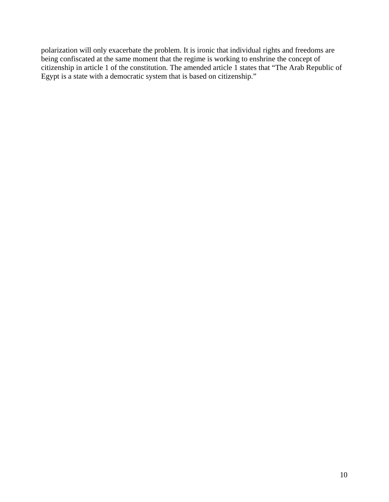polarization will only exacerbate the problem. It is ironic that individual rights and freedoms are being confiscated at the same moment that the regime is working to enshrine the concept of citizenship in article 1 of the constitution. The amended article 1 states that "The Arab Republic of Egypt is a state with a democratic system that is based on citizenship."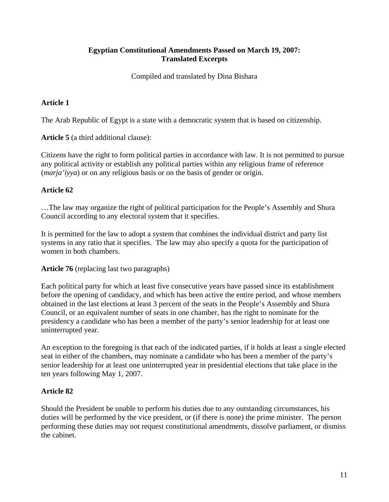## **Egyptian Constitutional Amendments Passed on March 19, 2007: Translated Excerpts**

Compiled and translated by Dina Bishara

# **Article 1**

The Arab Republic of Egypt is a state with a democratic system that is based on citizenship.

**Article 5** (a third additional clause):

Citizens have the right to form political parties in accordance with law. It is not permitted to pursue any political activity or establish any political parties within any religious frame of reference (*marja'iyya*) or on any religious basis or on the basis of gender or origin.

## **Article 62**

…The law may organize the right of political participation for the People's Assembly and Shura Council according to any electoral system that it specifies.

It is permitted for the law to adopt a system that combines the individual district and party list systems in any ratio that it specifies. The law may also specify a quota for the participation of women in both chambers.

**Article 76** (replacing last two paragraphs)

Each political party for which at least five consecutive years have passed since its establishment before the opening of candidacy, and which has been active the entire period, and whose members obtained in the last elections at least 3 percent of the seats in the People's Assembly and Shura Council, or an equivalent number of seats in one chamber, has the right to nominate for the presidency a candidate who has been a member of the party's senior leadership for at least one uninterrupted year.

An exception to the foregoing is that each of the indicated parties, if it holds at least a single elected seat in either of the chambers, may nominate a candidate who has been a member of the party's senior leadership for at least one uninterrupted year in presidential elections that take place in the ten years following May 1, 2007.

## **Article 82**

Should the President be unable to perform his duties due to any outstanding circumstances, his duties will be performed by the vice president, or (if there is none) the prime minister. The person performing these duties may not request constitutional amendments, dissolve parliament, or dismiss the cabinet.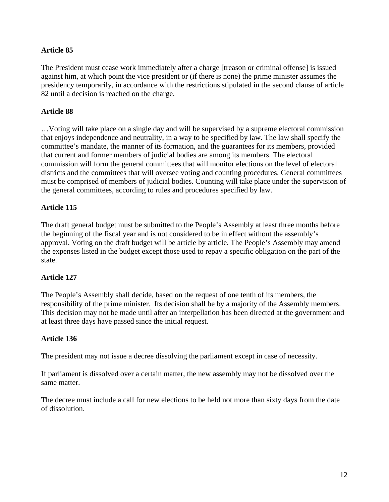## **Article 85**

The President must cease work immediately after a charge [treason or criminal offense] is issued against him, at which point the vice president or (if there is none) the prime minister assumes the presidency temporarily, in accordance with the restrictions stipulated in the second clause of article 82 until a decision is reached on the charge.

### **Article 88**

…Voting will take place on a single day and will be supervised by a supreme electoral commission that enjoys independence and neutrality, in a way to be specified by law. The law shall specify the committee's mandate, the manner of its formation, and the guarantees for its members, provided that current and former members of judicial bodies are among its members. The electoral commission will form the general committees that will monitor elections on the level of electoral districts and the committees that will oversee voting and counting procedures. General committees must be comprised of members of judicial bodies. Counting will take place under the supervision of the general committees, according to rules and procedures specified by law.

#### **Article 115**

The draft general budget must be submitted to the People's Assembly at least three months before the beginning of the fiscal year and is not considered to be in effect without the assembly's approval. Voting on the draft budget will be article by article. The People's Assembly may amend the expenses listed in the budget except those used to repay a specific obligation on the part of the state.

#### **Article 127**

The People's Assembly shall decide, based on the request of one tenth of its members, the responsibility of the prime minister. Its decision shall be by a majority of the Assembly members. This decision may not be made until after an interpellation has been directed at the government and at least three days have passed since the initial request.

#### **Article 136**

The president may not issue a decree dissolving the parliament except in case of necessity.

If parliament is dissolved over a certain matter, the new assembly may not be dissolved over the same matter.

The decree must include a call for new elections to be held not more than sixty days from the date of dissolution.